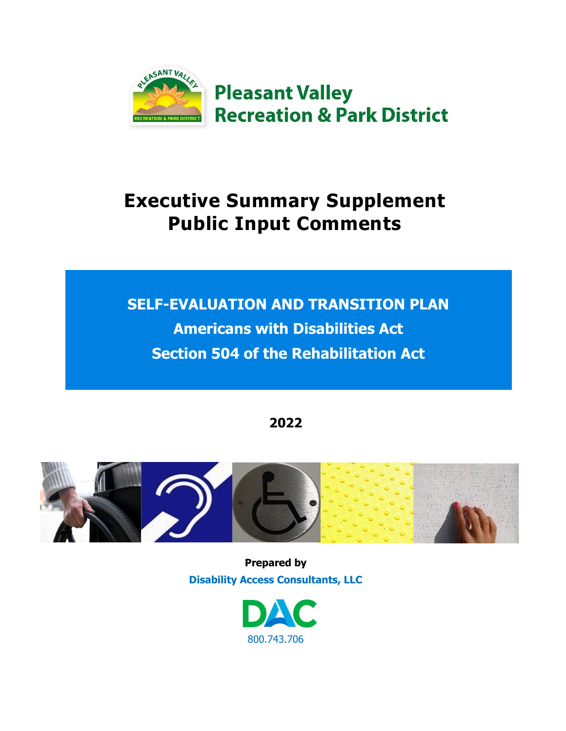

# **Executive Summary Supplement Public Input Comments**

# **SELF-EVALUATION AND TRANSITION PLAN Americans with Disabilities Act Section 504 of the Rehabilitation Act**

**2022**



**Prepared by Disability Access Consultants, LLC**

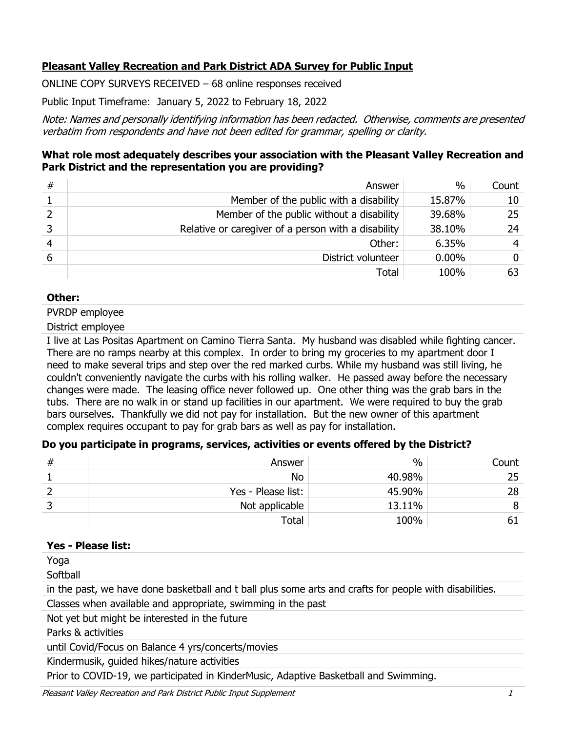## **Pleasant Valley Recreation and Park District ADA Survey for Public Input**

ONLINE COPY SURVEYS RECEIVED – 68 online responses received

Public Input Timeframe: January 5, 2022 to February 18, 2022

Note: Names and personally identifying information has been redacted. Otherwise, comments are presented verbatim from respondents and have not been edited for grammar, spelling or clarity.

## **What role most adequately describes your association with the Pleasant Valley Recreation and Park District and the representation you are providing?**

| # | Answer                                              | $\frac{0}{0}$ | Count |
|---|-----------------------------------------------------|---------------|-------|
|   | Member of the public with a disability              | 15.87%        | 10    |
|   | Member of the public without a disability           | 39.68%        | 25    |
|   | Relative or caregiver of a person with a disability | 38.10%        | 24    |
|   | Other:                                              | 6.35%         | 4     |
| 6 | District volunteer                                  | $0.00\%$      |       |
|   | Total                                               | 100%          |       |

#### **Other:**

PVRDP employee

District employee

I live at Las Positas Apartment on Camino Tierra Santa. My husband was disabled while fighting cancer. There are no ramps nearby at this complex. In order to bring my groceries to my apartment door I need to make several trips and step over the red marked curbs. While my husband was still living, he couldn't conveniently navigate the curbs with his rolling walker. He passed away before the necessary changes were made. The leasing office never followed up. One other thing was the grab bars in the tubs. There are no walk in or stand up facilities in our apartment. We were required to buy the grab bars ourselves. Thankfully we did not pay for installation. But the new owner of this apartment complex requires occupant to pay for grab bars as well as pay for installation.

## **Do you participate in programs, services, activities or events offered by the District?**

| Answer             | $\%$   | Count |
|--------------------|--------|-------|
| No                 | 40.98% | 25    |
| Yes - Please list: | 45.90% | 28    |
| Not applicable     | 13.11% |       |
| Total              | 100%   |       |

#### **Yes - Please list:**

Yoga

**Softball** 

in the past, we have done basketball and t ball plus some arts and crafts for people with disabilities.

Classes when available and appropriate, swimming in the past

Not yet but might be interested in the future

Parks & activities

until Covid/Focus on Balance 4 yrs/concerts/movies

Kindermusik, guided hikes/nature activities

Prior to COVID-19, we participated in KinderMusic, Adaptive Basketball and Swimming.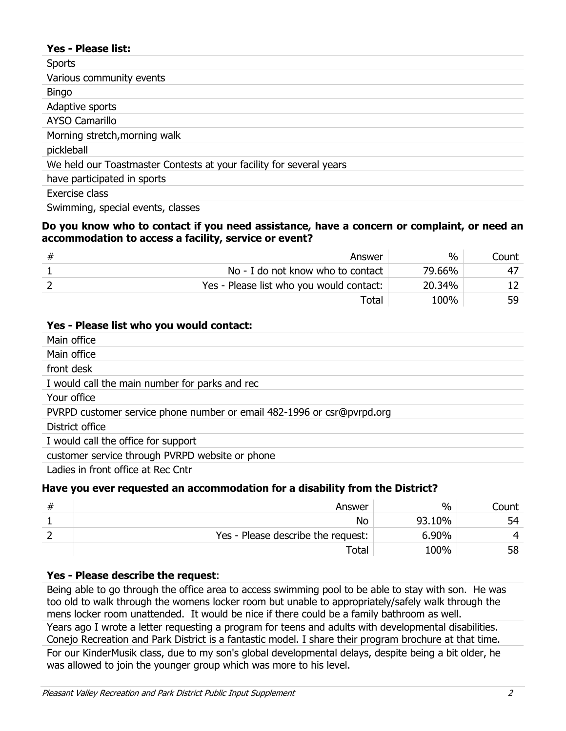#### **Yes - Please list:**

| <b>Sports</b>                                                       |
|---------------------------------------------------------------------|
| Various community events                                            |
| <b>Bingo</b>                                                        |
| Adaptive sports                                                     |
| <b>AYSO Camarillo</b>                                               |
| Morning stretch, morning walk                                       |
| pickleball                                                          |
| We held our Toastmaster Contests at your facility for several years |
| have participated in sports                                         |
| Exercise class                                                      |

Swimming, special events, classes

#### **Do you know who to contact if you need assistance, have a concern or complaint, or need an accommodation to access a facility, service or event?**

| Answer                                   | $\frac{0}{0}$ | Count |
|------------------------------------------|---------------|-------|
| No - I do not know who to contact        | 79.66%        |       |
| Yes - Please list who you would contact: | 20.34%        |       |
| Total                                    | 100%          |       |

#### **Yes - Please list who you would contact:**

| Main office                                                                                                                                                                                                                                                                                                         |
|---------------------------------------------------------------------------------------------------------------------------------------------------------------------------------------------------------------------------------------------------------------------------------------------------------------------|
| Main office                                                                                                                                                                                                                                                                                                         |
| front desk                                                                                                                                                                                                                                                                                                          |
| I would call the main number for parks and rec                                                                                                                                                                                                                                                                      |
| Your office                                                                                                                                                                                                                                                                                                         |
| PVRPD customer service phone number or email 482-1996 or csr@pvrpd.org                                                                                                                                                                                                                                              |
| District office                                                                                                                                                                                                                                                                                                     |
| I would call the office for support                                                                                                                                                                                                                                                                                 |
| customer service through PVRPD website or phone                                                                                                                                                                                                                                                                     |
| $L = \frac{1}{2}$ in figure $\frac{1}{2}$ $\frac{1}{2}$ $\frac{1}{2}$ $\frac{1}{2}$ $\frac{1}{2}$ $\frac{1}{2}$ $\frac{1}{2}$ $\frac{1}{2}$ $\frac{1}{2}$ $\frac{1}{2}$ $\frac{1}{2}$ $\frac{1}{2}$ $\frac{1}{2}$ $\frac{1}{2}$ $\frac{1}{2}$ $\frac{1}{2}$ $\frac{1}{2}$ $\frac{1}{2}$ $\frac{1}{2}$ $\frac{1}{2}$ |

Ladies in front office at Rec Cntr

#### **Have you ever requested an accommodation for a disability from the District?**

| Answer                             | $\%$   | Count |
|------------------------------------|--------|-------|
| No                                 | 93.10% | 54    |
| Yes - Please describe the request: | 6.90%  |       |
| Total                              | 100%   | 58    |

#### **Yes - Please describe the request**:

Being able to go through the office area to access swimming pool to be able to stay with son. He was too old to walk through the womens locker room but unable to appropriately/safely walk through the mens locker room unattended. It would be nice if there could be a family bathroom as well. Years ago I wrote a letter requesting a program for teens and adults with developmental disabilities. Conejo Recreation and Park District is a fantastic model. I share their program brochure at that time. For our KinderMusik class, due to my son's global developmental delays, despite being a bit older, he was allowed to join the younger group which was more to his level.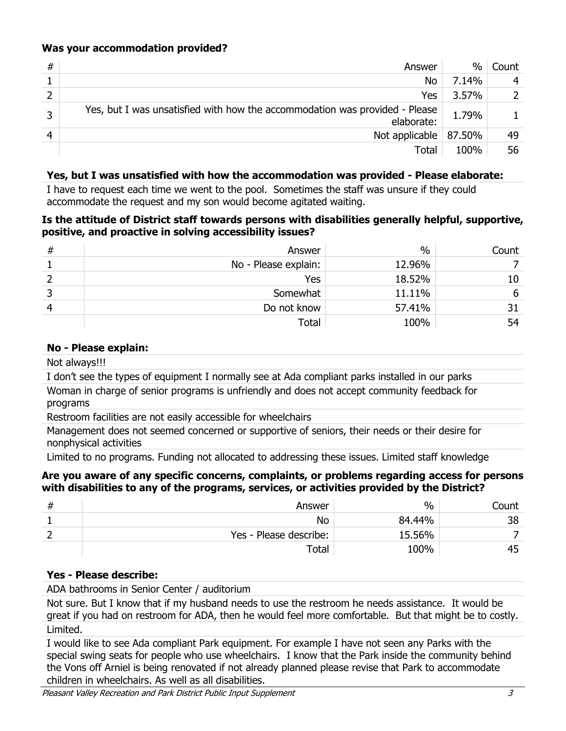## **Was your accommodation provided?**

| # | Answer                                                                                    | $\%$  | Count |
|---|-------------------------------------------------------------------------------------------|-------|-------|
|   | No                                                                                        | 7.14% |       |
| h | Yes                                                                                       | 3.57% |       |
| っ | Yes, but I was unsatisfied with how the accommodation was provided - Please<br>elaborate: | 1.79% |       |
| 4 | Not applicable $  87.50\%$                                                                |       | 49    |
|   | Total                                                                                     | 100%  | 56    |

## **Yes, but I was unsatisfied with how the accommodation was provided - Please elaborate:**

I have to request each time we went to the pool. Sometimes the staff was unsure if they could accommodate the request and my son would become agitated waiting.

#### **Is the attitude of District staff towards persons with disabilities generally helpful, supportive, positive, and proactive in solving accessibility issues?**

| # | Answer               | $\%$   | Count |
|---|----------------------|--------|-------|
|   | No - Please explain: | 12.96% |       |
|   | <b>Yes</b>           | 18.52% | 10    |
|   | Somewhat             | 11.11% | ь     |
|   | Do not know          | 57.41% |       |
|   | Total                | 100%   | 54    |

#### **No - Please explain:**

Not always!!!

I don't see the types of equipment I normally see at Ada compliant parks installed in our parks

Woman in charge of senior programs is unfriendly and does not accept community feedback for programs

Restroom facilities are not easily accessible for wheelchairs

Management does not seemed concerned or supportive of seniors, their needs or their desire for nonphysical activities

Limited to no programs. Funding not allocated to addressing these issues. Limited staff knowledge

## **Are you aware of any specific concerns, complaints, or problems regarding access for persons with disabilities to any of the programs, services, or activities provided by the District?**

| π | Answer                 | $\%$   | Count |
|---|------------------------|--------|-------|
|   | No                     | 84.44% | 38    |
|   | Yes - Please describe: | 15.56% |       |
|   | Total                  | 100%   | 45    |

## **Yes - Please describe:**

ADA bathrooms in Senior Center / auditorium

Not sure. But I know that if my husband needs to use the restroom he needs assistance. It would be great if you had on restroom for ADA, then he would feel more comfortable. But that might be to costly. Limited.

I would like to see Ada compliant Park equipment. For example I have not seen any Parks with the special swing seats for people who use wheelchairs. I know that the Park inside the community behind the Vons off Arniel is being renovated if not already planned please revise that Park to accommodate children in wheelchairs. As well as all disabilities.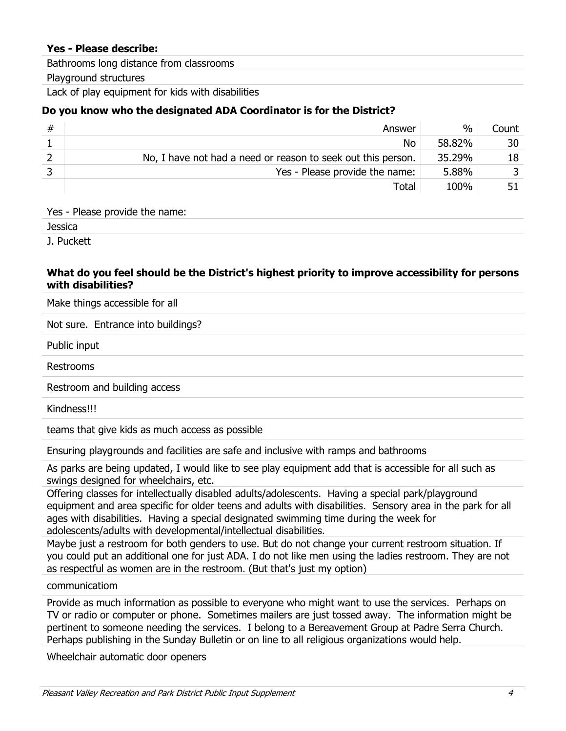#### **Yes - Please describe:**

Bathrooms long distance from classrooms

#### Playground structures

Lack of play equipment for kids with disabilities

## **Do you know who the designated ADA Coordinator is for the District?**

| # | Answer                                                       | $\%$   | Count |
|---|--------------------------------------------------------------|--------|-------|
|   | <b>No</b>                                                    | 58.82% | 30    |
|   | No, I have not had a need or reason to seek out this person. | 35.29% | 18    |
|   | Yes - Please provide the name:                               | 5.88%  |       |
|   | Total                                                        | 100%   | 51    |

#### Yes - Please provide the name:

Jessica

J. Puckett

#### **What do you feel should be the District's highest priority to improve accessibility for persons with disabilities?**

Make things accessible for all

Not sure. Entrance into buildings?

Public input

Restrooms

Restroom and building access

Kindness!!!

teams that give kids as much access as possible

Ensuring playgrounds and facilities are safe and inclusive with ramps and bathrooms

As parks are being updated, I would like to see play equipment add that is accessible for all such as swings designed for wheelchairs, etc.

Offering classes for intellectually disabled adults/adolescents. Having a special park/playground equipment and area specific for older teens and adults with disabilities. Sensory area in the park for all ages with disabilities. Having a special designated swimming time during the week for adolescents/adults with developmental/intellectual disabilities.

Maybe just a restroom for both genders to use. But do not change your current restroom situation. If you could put an additional one for just ADA. I do not like men using the ladies restroom. They are not as respectful as women are in the restroom. (But that's just my option)

communicatiom

Provide as much information as possible to everyone who might want to use the services. Perhaps on TV or radio or computer or phone. Sometimes mailers are just tossed away. The information might be pertinent to someone needing the services. I belong to a Bereavement Group at Padre Serra Church. Perhaps publishing in the Sunday Bulletin or on line to all religious organizations would help.

Wheelchair automatic door openers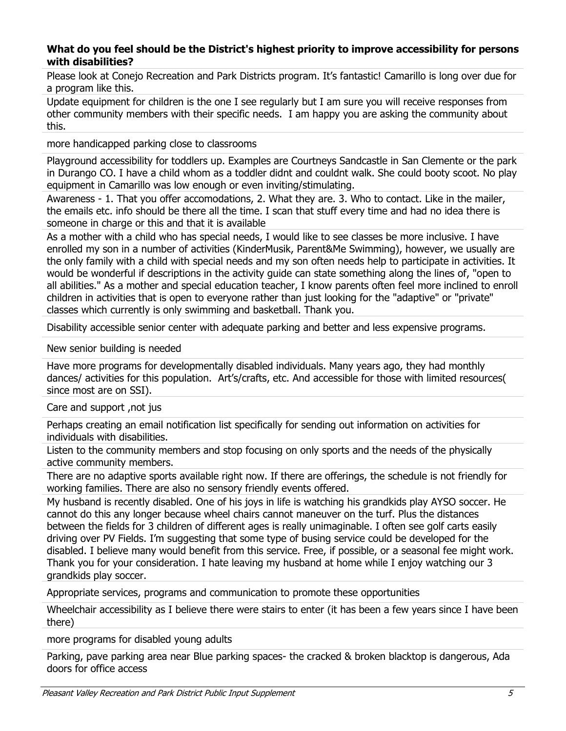#### **What do you feel should be the District's highest priority to improve accessibility for persons with disabilities?**

Please look at Conejo Recreation and Park Districts program. It's fantastic! Camarillo is long over due for a program like this.

Update equipment for children is the one I see regularly but I am sure you will receive responses from other community members with their specific needs. I am happy you are asking the community about this.

more handicapped parking close to classrooms

Playground accessibility for toddlers up. Examples are Courtneys Sandcastle in San Clemente or the park in Durango CO. I have a child whom as a toddler didnt and couldnt walk. She could booty scoot. No play equipment in Camarillo was low enough or even inviting/stimulating.

Awareness - 1. That you offer accomodations, 2. What they are. 3. Who to contact. Like in the mailer, the emails etc. info should be there all the time. I scan that stuff every time and had no idea there is someone in charge or this and that it is available

As a mother with a child who has special needs, I would like to see classes be more inclusive. I have enrolled my son in a number of activities (KinderMusik, Parent&Me Swimming), however, we usually are the only family with a child with special needs and my son often needs help to participate in activities. It would be wonderful if descriptions in the activity guide can state something along the lines of, "open to all abilities." As a mother and special education teacher, I know parents often feel more inclined to enroll children in activities that is open to everyone rather than just looking for the "adaptive" or "private" classes which currently is only swimming and basketball. Thank you.

Disability accessible senior center with adequate parking and better and less expensive programs.

New senior building is needed

Have more programs for developmentally disabled individuals. Many years ago, they had monthly dances/ activities for this population. Art's/crafts, etc. And accessible for those with limited resources( since most are on SSI).

Care and support ,not jus

Perhaps creating an email notification list specifically for sending out information on activities for individuals with disabilities.

Listen to the community members and stop focusing on only sports and the needs of the physically active community members.

There are no adaptive sports available right now. If there are offerings, the schedule is not friendly for working families. There are also no sensory friendly events offered.

My husband is recently disabled. One of his joys in life is watching his grandkids play AYSO soccer. He cannot do this any longer because wheel chairs cannot maneuver on the turf. Plus the distances between the fields for 3 children of different ages is really unimaginable. I often see golf carts easily driving over PV Fields. I'm suggesting that some type of busing service could be developed for the disabled. I believe many would benefit from this service. Free, if possible, or a seasonal fee might work. Thank you for your consideration. I hate leaving my husband at home while I enjoy watching our 3 grandkids play soccer.

Appropriate services, programs and communication to promote these opportunities

Wheelchair accessibility as I believe there were stairs to enter (it has been a few years since I have been there)

more programs for disabled young adults

Parking, pave parking area near Blue parking spaces- the cracked & broken blacktop is dangerous, Ada doors for office access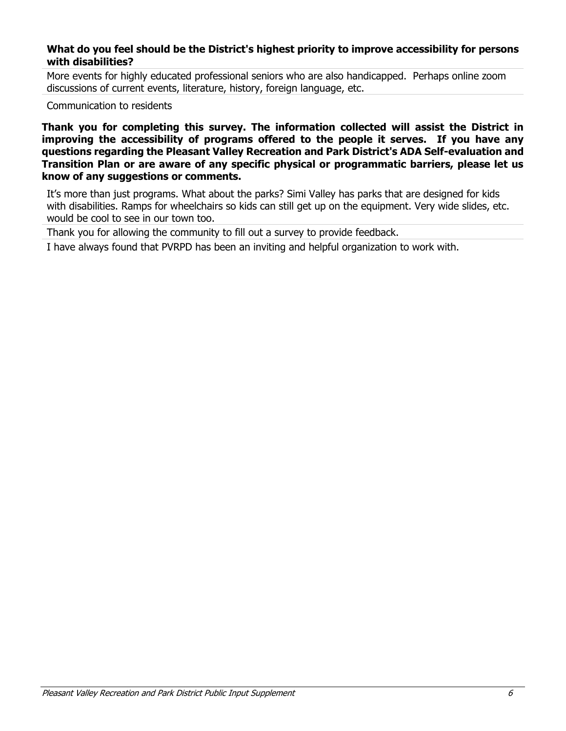#### **What do you feel should be the District's highest priority to improve accessibility for persons with disabilities?**

More events for highly educated professional seniors who are also handicapped. Perhaps online zoom discussions of current events, literature, history, foreign language, etc.

Communication to residents

**Thank you for completing this survey. The information collected will assist the District in improving the accessibility of programs offered to the people it serves. If you have any questions regarding the Pleasant Valley Recreation and Park District's ADA Self-evaluation and Transition Plan or are aware of any specific physical or programmatic barriers, please let us know of any suggestions or comments.**

It's more than just programs. What about the parks? Simi Valley has parks that are designed for kids with disabilities. Ramps for wheelchairs so kids can still get up on the equipment. Very wide slides, etc. would be cool to see in our town too.

Thank you for allowing the community to fill out a survey to provide feedback.

I have always found that PVRPD has been an inviting and helpful organization to work with.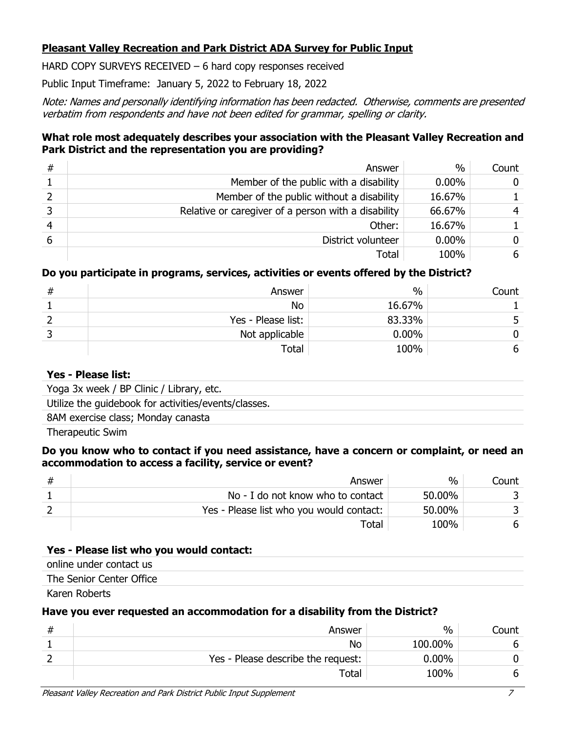## **Pleasant Valley Recreation and Park District ADA Survey for Public Input**

HARD COPY SURVEYS RECEIVED – 6 hard copy responses received

Public Input Timeframe: January 5, 2022 to February 18, 2022

Note: Names and personally identifying information has been redacted. Otherwise, comments are presented verbatim from respondents and have not been edited for grammar, spelling or clarity.

## **What role most adequately describes your association with the Pleasant Valley Recreation and Park District and the representation you are providing?**

| # | Answer                                              | $\%$     | Count          |
|---|-----------------------------------------------------|----------|----------------|
|   | Member of the public with a disability              | $0.00\%$ | $\overline{0}$ |
|   | Member of the public without a disability           | 16.67%   |                |
|   | Relative or caregiver of a person with a disability | 66.67%   | 4              |
|   | Other:                                              | 16.67%   |                |
|   | District volunteer                                  | $0.00\%$ | 0              |
|   | Total                                               | 100%     | 6              |

## **Do you participate in programs, services, activities or events offered by the District?**

| Answer             | $\%$     | Count |
|--------------------|----------|-------|
| No                 | 16.67%   |       |
| Yes - Please list: | 83.33%   |       |
| Not applicable     | $0.00\%$ |       |
| Total              | 100%     | b     |

## **Yes - Please list:**

Yoga 3x week / BP Clinic / Library, etc.

Utilize the guidebook for activities/events/classes.

8AM exercise class; Monday canasta

Therapeutic Swim

#### **Do you know who to contact if you need assistance, have a concern or complaint, or need an accommodation to access a facility, service or event?**

| Answer                                   | $\%$   | Count |
|------------------------------------------|--------|-------|
| No - I do not know who to contact        | 50.00% |       |
| Yes - Please list who you would contact: | 50.00% |       |
| Total                                    | 100%   |       |

## **Yes - Please list who you would contact:**

online under contact us

The Senior Center Office

Karen Roberts

## **Have you ever requested an accommodation for a disability from the District?**

| Answer                             | $\%$     | Count |
|------------------------------------|----------|-------|
| <b>No</b>                          | 100.00%  |       |
| Yes - Please describe the request: | $0.00\%$ |       |
| $\mathsf{Total}$                   | 100%     |       |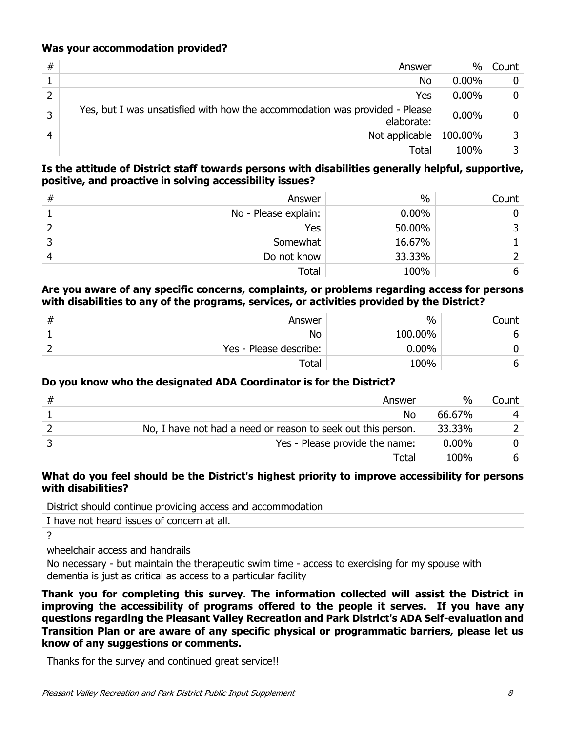## **Was your accommodation provided?**

| # | Answer                                                                                    | $\%$     | Count |
|---|-------------------------------------------------------------------------------------------|----------|-------|
|   | No                                                                                        | $0.00\%$ |       |
|   | Yes                                                                                       | $0.00\%$ | 0     |
| っ | Yes, but I was unsatisfied with how the accommodation was provided - Please<br>elaborate: | $0.00\%$ | 0     |
|   | Not applicable                                                                            | 100.00%  |       |
|   | Total                                                                                     | 100%     |       |

### **Is the attitude of District staff towards persons with disabilities generally helpful, supportive, positive, and proactive in solving accessibility issues?**

| # | Answer               | $\%$     | Count |
|---|----------------------|----------|-------|
|   | No - Please explain: | $0.00\%$ |       |
|   | Yes                  | 50.00%   |       |
|   | Somewhat             | 16.67%   |       |
|   | Do not know          | 33.33%   |       |
|   | Total                | 100%     | 6     |

#### **Are you aware of any specific concerns, complaints, or problems regarding access for persons with disabilities to any of the programs, services, or activities provided by the District?**

| # | Answer                 | $\%$     | Count |
|---|------------------------|----------|-------|
|   | No                     | 100.00%  | n     |
|   | Yes - Please describe: | $0.00\%$ |       |
|   | Total                  | 100%     |       |

## **Do you know who the designated ADA Coordinator is for the District?**

| # | Answer                                                       | $\%$     | Count |
|---|--------------------------------------------------------------|----------|-------|
|   | No                                                           | 66.67%   |       |
|   | No, I have not had a need or reason to seek out this person. | 33.33%   |       |
|   | Yes - Please provide the name:                               | $0.00\%$ |       |
|   | Total                                                        | 100%     | 6     |

#### **What do you feel should be the District's highest priority to improve accessibility for persons with disabilities?**

District should continue providing access and accommodation

I have not heard issues of concern at all.

?

wheelchair access and handrails

No necessary - but maintain the therapeutic swim time - access to exercising for my spouse with dementia is just as critical as access to a particular facility

**Thank you for completing this survey. The information collected will assist the District in improving the accessibility of programs offered to the people it serves. If you have any questions regarding the Pleasant Valley Recreation and Park District's ADA Self-evaluation and Transition Plan or are aware of any specific physical or programmatic barriers, please let us know of any suggestions or comments.**

Thanks for the survey and continued great service!!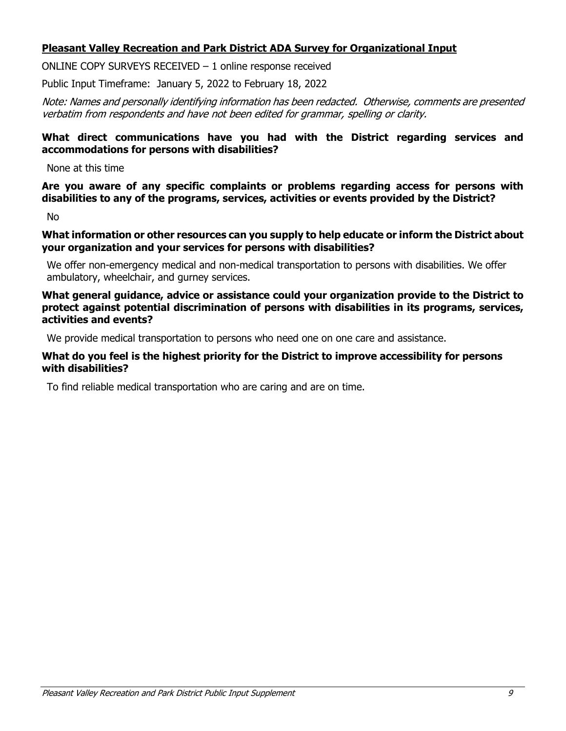## **Pleasant Valley Recreation and Park District ADA Survey for Organizational Input**

ONLINE COPY SURVEYS RECEIVED – 1 online response received

Public Input Timeframe: January 5, 2022 to February 18, 2022

Note: Names and personally identifying information has been redacted. Otherwise, comments are presented verbatim from respondents and have not been edited for grammar, spelling or clarity.

### **What direct communications have you had with the District regarding services and accommodations for persons with disabilities?**

None at this time

**Are you aware of any specific complaints or problems regarding access for persons with disabilities to any of the programs, services, activities or events provided by the District?**

No

**What information or other resources can you supply to help educate or inform the District about your organization and your services for persons with disabilities?**

We offer non-emergency medical and non-medical transportation to persons with disabilities. We offer ambulatory, wheelchair, and gurney services.

#### **What general guidance, advice or assistance could your organization provide to the District to protect against potential discrimination of persons with disabilities in its programs, services, activities and events?**

We provide medical transportation to persons who need one on one care and assistance.

#### **What do you feel is the highest priority for the District to improve accessibility for persons with disabilities?**

To find reliable medical transportation who are caring and are on time.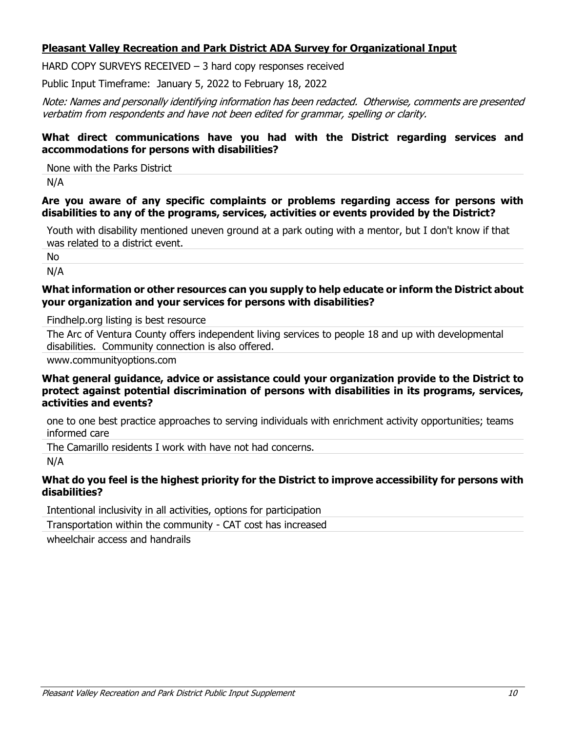## **Pleasant Valley Recreation and Park District ADA Survey for Organizational Input**

HARD COPY SURVEYS RECEIVED - 3 hard copy responses received

Public Input Timeframe: January 5, 2022 to February 18, 2022

Note: Names and personally identifying information has been redacted. Otherwise, comments are presented verbatim from respondents and have not been edited for grammar, spelling or clarity.

#### **What direct communications have you had with the District regarding services and accommodations for persons with disabilities?**

None with the Parks District

N/A

## **Are you aware of any specific complaints or problems regarding access for persons with disabilities to any of the programs, services, activities or events provided by the District?**

Youth with disability mentioned uneven ground at a park outing with a mentor, but I don't know if that was related to a district event.

No

N/A

#### **What information or other resources can you supply to help educate or inform the District about your organization and your services for persons with disabilities?**

Findhelp.org listing is best resource

The Arc of Ventura County offers independent living services to people 18 and up with developmental disabilities. Community connection is also offered.

www.communityoptions.com

#### **What general guidance, advice or assistance could your organization provide to the District to protect against potential discrimination of persons with disabilities in its programs, services, activities and events?**

one to one best practice approaches to serving individuals with enrichment activity opportunities; teams informed care

The Camarillo residents I work with have not had concerns.

N/A

## **What do you feel is the highest priority for the District to improve accessibility for persons with disabilities?**

Intentional inclusivity in all activities, options for participation

Transportation within the community - CAT cost has increased

wheelchair access and handrails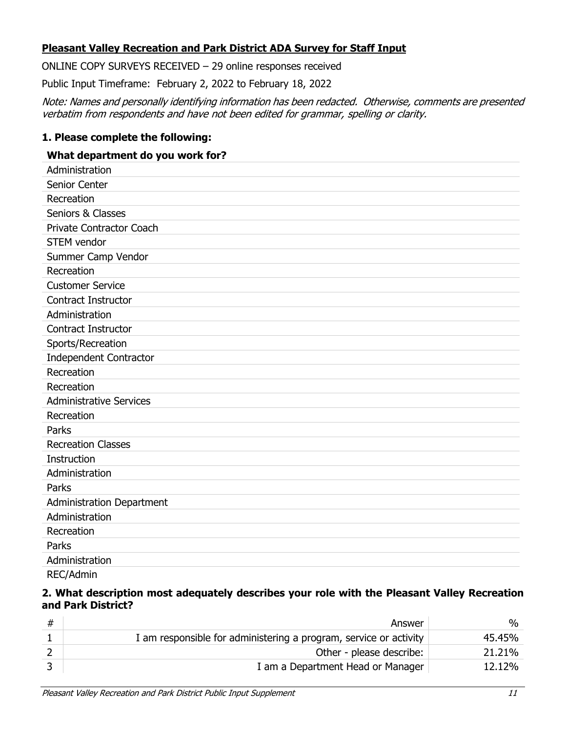## **Pleasant Valley Recreation and Park District ADA Survey for Staff Input**

ONLINE COPY SURVEYS RECEIVED – 29 online responses received

Public Input Timeframe: February 2, 2022 to February 18, 2022

Note: Names and personally identifying information has been redacted. Otherwise, comments are presented verbatim from respondents and have not been edited for grammar, spelling or clarity.

## **1. Please complete the following:**

#### **What department do you work for?**

| Administration                   |
|----------------------------------|
| Senior Center                    |
| Recreation                       |
| Seniors & Classes                |
| Private Contractor Coach         |
| <b>STEM</b> vendor               |
| Summer Camp Vendor               |
| Recreation                       |
| <b>Customer Service</b>          |
| Contract Instructor              |
| Administration                   |
| <b>Contract Instructor</b>       |
| Sports/Recreation                |
| Independent Contractor           |
| Recreation                       |
| Recreation                       |
| <b>Administrative Services</b>   |
| Recreation                       |
| Parks                            |
| <b>Recreation Classes</b>        |
| Instruction                      |
| Administration                   |
| Parks                            |
| <b>Administration Department</b> |
| Administration                   |
| Recreation                       |
| Parks                            |
| Administration                   |
| REC/Admin                        |

#### **2. What description most adequately describes your role with the Pleasant Valley Recreation and Park District?**

| # | Answer                                                            | %      |
|---|-------------------------------------------------------------------|--------|
|   | I am responsible for administering a program, service or activity | 45.45% |
|   | Other - please describe:                                          | 21.21% |
|   | I am a Department Head or Manager                                 | 12.12% |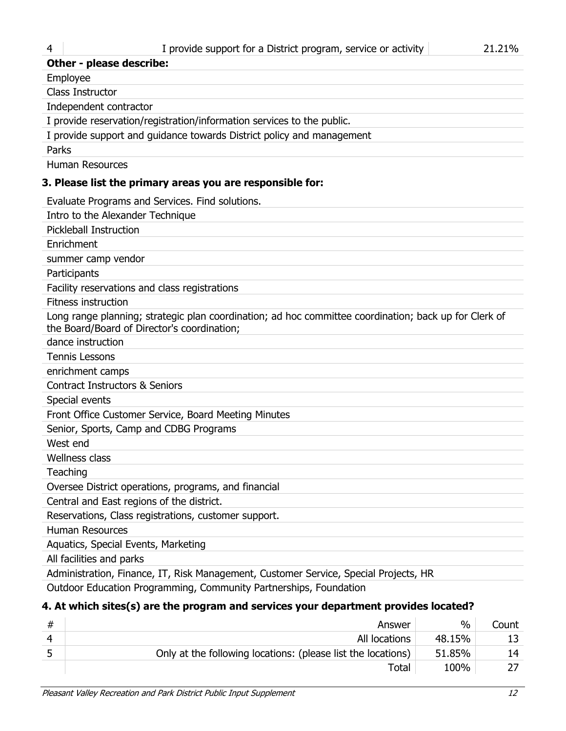| <b>Other - please describe:</b>                                                                                                                      |
|------------------------------------------------------------------------------------------------------------------------------------------------------|
| Employee                                                                                                                                             |
| Class Instructor                                                                                                                                     |
| Independent contractor                                                                                                                               |
| I provide reservation/registration/information services to the public.                                                                               |
| I provide support and guidance towards District policy and management                                                                                |
| Parks                                                                                                                                                |
| <b>Human Resources</b>                                                                                                                               |
| 3. Please list the primary areas you are responsible for:                                                                                            |
| Evaluate Programs and Services. Find solutions.                                                                                                      |
| Intro to the Alexander Technique                                                                                                                     |
| <b>Pickleball Instruction</b>                                                                                                                        |
| Enrichment                                                                                                                                           |
| summer camp vendor                                                                                                                                   |
| Participants                                                                                                                                         |
| Facility reservations and class registrations                                                                                                        |
| <b>Fitness instruction</b>                                                                                                                           |
| Long range planning; strategic plan coordination; ad hoc committee coordination; back up for Clerk of<br>the Board/Board of Director's coordination; |
| dance instruction                                                                                                                                    |
| <b>Tennis Lessons</b>                                                                                                                                |
| enrichment camps                                                                                                                                     |
| <b>Contract Instructors &amp; Seniors</b>                                                                                                            |
| Special events                                                                                                                                       |
| Front Office Customer Service, Board Meeting Minutes                                                                                                 |
| Senior, Sports, Camp and CDBG Programs                                                                                                               |
| West end                                                                                                                                             |
| <b>Wellness class</b>                                                                                                                                |
| Teaching                                                                                                                                             |
| Oversee District operations, programs, and financial                                                                                                 |
| Central and East regions of the district.                                                                                                            |
| Reservations, Class registrations, customer support.                                                                                                 |
| <b>Human Resources</b>                                                                                                                               |
| Aquatics, Special Events, Marketing                                                                                                                  |
| All facilities and parks                                                                                                                             |

Administration, Finance, IT, Risk Management, Customer Service, Special Projects, HR

Outdoor Education Programming, Community Partnerships, Foundation

# **4. At which sites(s) are the program and services your department provides located?**

| # | Answer                                                       | $\%$   | Count |
|---|--------------------------------------------------------------|--------|-------|
|   | All locations                                                | 48.15% |       |
|   | Only at the following locations: (please list the locations) | 51.85% | 14    |
|   | Total                                                        | 100%   |       |
|   |                                                              |        |       |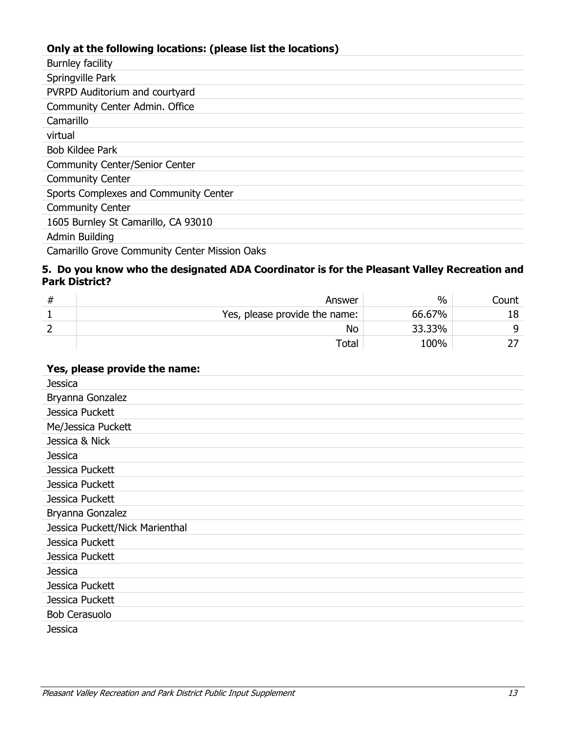# **Only at the following locations: (please list the locations)**

| Burnley facility                      |
|---------------------------------------|
| Springville Park                      |
| PVRPD Auditorium and courtyard        |
| Community Center Admin. Office        |
| Camarillo                             |
| virtual                               |
| <b>Bob Kildee Park</b>                |
| <b>Community Center/Senior Center</b> |
| <b>Community Center</b>               |
| Sports Complexes and Community Center |
| <b>Community Center</b>               |
| 1605 Burnley St Camarillo, CA 93010   |
| Admin Building                        |
|                                       |

Camarillo Grove Community Center Mission Oaks

## **5. Do you know who the designated ADA Coordinator is for the Pleasant Valley Recreation and Park District?**

| 77 | Answer                        | $\%$   | count |
|----|-------------------------------|--------|-------|
|    | Yes, please provide the name: | 66.67% |       |
|    | No                            | 33.33% |       |
|    | Total                         | 100%   |       |

## **Yes, please provide the name:**

| Jessica                         |
|---------------------------------|
| Bryanna Gonzalez                |
| Jessica Puckett                 |
| Me/Jessica Puckett              |
| Jessica & Nick                  |
| <b>Jessica</b>                  |
| Jessica Puckett                 |
| Jessica Puckett                 |
| Jessica Puckett                 |
| Bryanna Gonzalez                |
| Jessica Puckett/Nick Marienthal |
| Jessica Puckett                 |
| Jessica Puckett                 |
| <b>Jessica</b>                  |
| Jessica Puckett                 |
| Jessica Puckett                 |
| <b>Bob Cerasuolo</b>            |
| Jessica                         |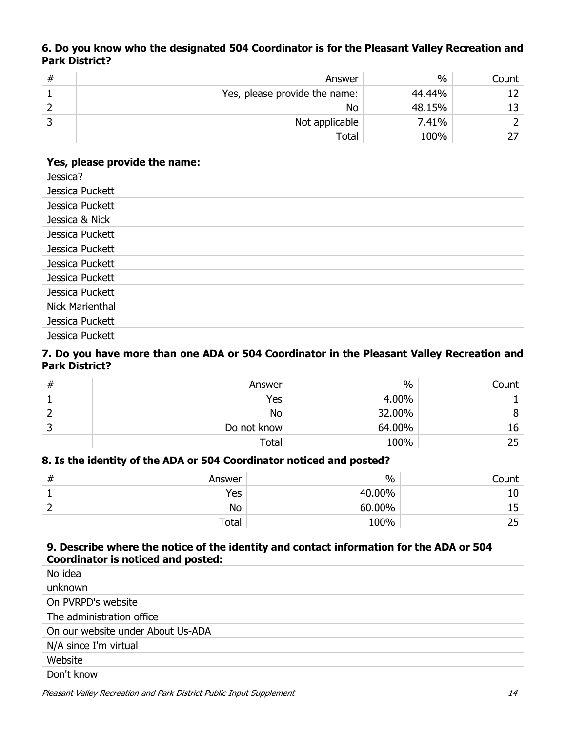## **6. Do you know who the designated 504 Coordinator is for the Pleasant Valley Recreation and Park District?**

| # | Answer                        | $\%$   | Count |
|---|-------------------------------|--------|-------|
|   | Yes, please provide the name: | 44.44% | 12    |
|   | No                            | 48.15% | 13    |
|   | Not applicable                | 7.41%  |       |
|   | Total                         | 100%   |       |

## **Yes, please provide the name:**

| Jessica?               |
|------------------------|
| Jessica Puckett        |
| Jessica Puckett        |
| Jessica & Nick         |
| Jessica Puckett        |
| Jessica Puckett        |
| Jessica Puckett        |
| Jessica Puckett        |
| Jessica Puckett        |
| <b>Nick Marienthal</b> |
| Jessica Puckett        |
| Jessica Puckett        |

#### **7. Do you have more than one ADA or 504 Coordinator in the Pleasant Valley Recreation and Park District?**

| # | Answer      | $\frac{0}{0}$ | Count |
|---|-------------|---------------|-------|
|   | Yes         | 4.00%         |       |
|   | No          | 32.00%        |       |
|   | Do not know | 64.00%        | 16    |
|   | Total       | 100%          | 25    |

## **8. Is the identity of the ADA or 504 Coordinator noticed and posted?**

| # | Answer | $\%$   | Count    |
|---|--------|--------|----------|
|   | Yes    | 40.00% | 10       |
|   | No     | 60.00% | 15       |
|   | Total  | 100%   | つに<br>دے |

## **9. Describe where the notice of the identity and contact information for the ADA or 504 Coordinator is noticed and posted:**

| No idea                           |
|-----------------------------------|
| unknown                           |
| On PVRPD's website                |
| The administration office         |
| On our website under About Us-ADA |
| N/A since I'm virtual             |
| Website                           |
| Don't know                        |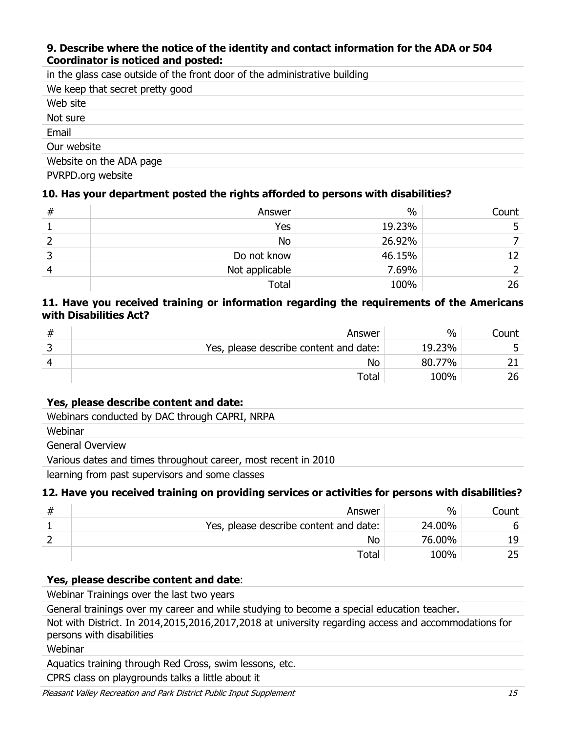## **9. Describe where the notice of the identity and contact information for the ADA or 504 Coordinator is noticed and posted:**

| in the glass case outside of the front door of the administrative building |
|----------------------------------------------------------------------------|
| We keep that secret pretty good                                            |
| Web site                                                                   |
| Not sure                                                                   |
| Email                                                                      |
| Our website                                                                |
| Website on the ADA page                                                    |

PVRPD.org website

## **10. Has your department posted the rights afforded to persons with disabilities?**

| # | Answer         | $\%$   | Count |
|---|----------------|--------|-------|
|   | Yes            | 19.23% |       |
|   | No             | 26.92% |       |
|   | Do not know    | 46.15% | 12    |
|   | Not applicable | 7.69%  |       |
|   | Total          | 100%   | 26    |

## **11. Have you received training or information regarding the requirements of the Americans with Disabilities Act?**

| Answer                                 | $\%$   | .ount |
|----------------------------------------|--------|-------|
| Yes, please describe content and date: | 19.23% |       |
| No                                     | 80.77% |       |
| Total                                  | 100%   | 26    |

## **Yes, please describe content and date:**

Webinars conducted by DAC through CAPRI, NRPA

Webinar

General Overview

Various dates and times throughout career, most recent in 2010

learning from past supervisors and some classes

## **12. Have you received training on providing services or activities for persons with disabilities?**

| Answer                                 | $\%$   | Count |
|----------------------------------------|--------|-------|
| Yes, please describe content and date: | 24.00% | n     |
| No                                     | 76.00% | 19.   |
| Total                                  | 100%   |       |

## **Yes, please describe content and date**:

Webinar Trainings over the last two years

General trainings over my career and while studying to become a special education teacher.

Not with District. In 2014,2015,2016,2017,2018 at university regarding access and accommodations for persons with disabilities

Webinar

Aquatics training through Red Cross, swim lessons, etc.

CPRS class on playgrounds talks a little about it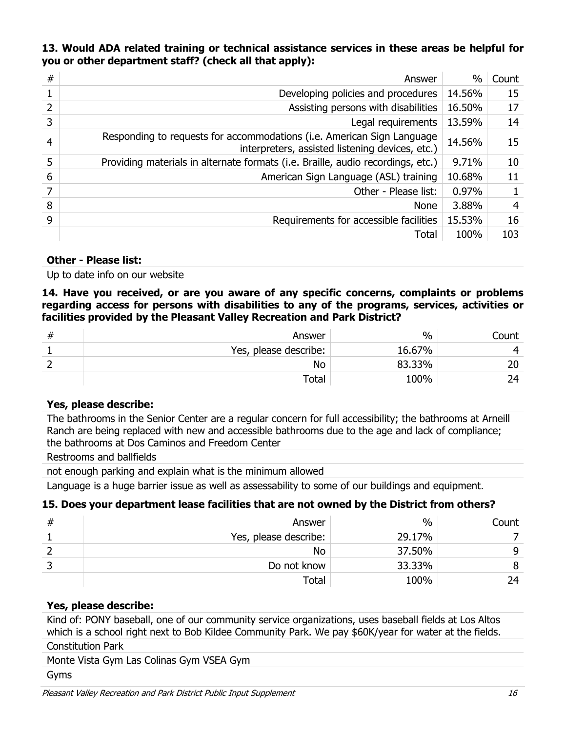## **13. Would ADA related training or technical assistance services in these areas be helpful for you or other department staff? (check all that apply):**

| # | Answer                                                                                                                    | $\%$   | Count |
|---|---------------------------------------------------------------------------------------------------------------------------|--------|-------|
|   | Developing policies and procedures                                                                                        | 14.56% | 15    |
| 2 | Assisting persons with disabilities                                                                                       | 16.50% | 17    |
| 3 | Legal requirements                                                                                                        | 13.59% | 14    |
| 4 | Responding to requests for accommodations (i.e. American Sign Language<br>interpreters, assisted listening devices, etc.) | 14.56% | 15    |
| 5 | Providing materials in alternate formats (i.e. Braille, audio recordings, etc.)                                           | 9.71%  | 10    |
| 6 | American Sign Language (ASL) training                                                                                     | 10.68% | 11    |
| 7 | Other - Please list:                                                                                                      | 0.97%  |       |
| 8 | <b>None</b>                                                                                                               | 3.88%  | 4     |
| 9 | Requirements for accessible facilities                                                                                    | 15.53% | 16    |
|   | Total                                                                                                                     | 100%   | 103   |

#### **Other - Please list:**

Up to date info on our website

**14. Have you received, or are you aware of any specific concerns, complaints or problems regarding access for persons with disabilities to any of the programs, services, activities or facilities provided by the Pleasant Valley Recreation and Park District?**

| # | Answer                | $\frac{0}{0}$ | count |
|---|-----------------------|---------------|-------|
| - | Yes, please describe: | 16.67%        |       |
|   | No                    | 83.33%        | 20    |
|   | Total                 | 100%          | 74.   |

## **Yes, please describe:**

The bathrooms in the Senior Center are a regular concern for full accessibility; the bathrooms at Arneill Ranch are being replaced with new and accessible bathrooms due to the age and lack of compliance; the bathrooms at Dos Caminos and Freedom Center

Restrooms and ballfields

not enough parking and explain what is the minimum allowed

Language is a huge barrier issue as well as assessability to some of our buildings and equipment.

## **15. Does your department lease facilities that are not owned by the District from others?**

| # | Answer                | $\frac{0}{0}$ | Count |
|---|-----------------------|---------------|-------|
|   | Yes, please describe: | 29.17%        |       |
|   | <b>No</b>             | 37.50%        | q     |
|   | Do not know           | 33.33%        |       |
|   | Total                 | 100%          | 74    |

## **Yes, please describe:**

Kind of: PONY baseball, one of our community service organizations, uses baseball fields at Los Altos which is a school right next to Bob Kildee Community Park. We pay \$60K/year for water at the fields.

#### Constitution Park

Monte Vista Gym Las Colinas Gym VSEA Gym

Gyms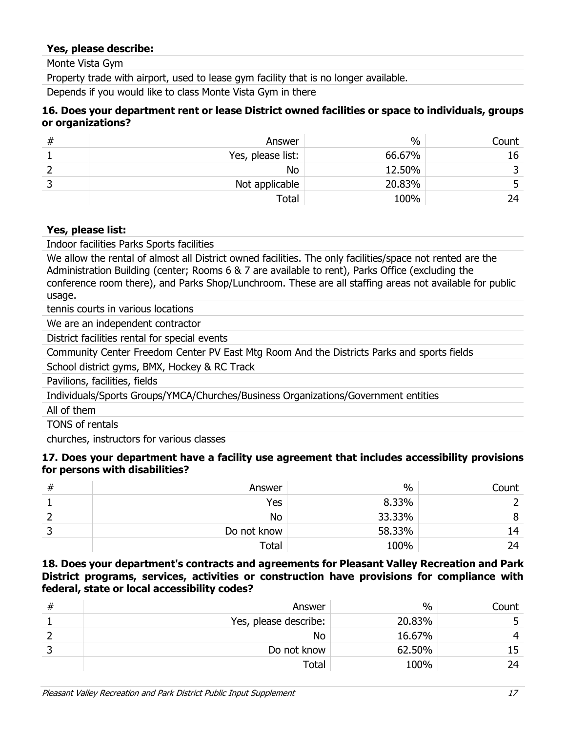#### **Yes, please describe:**

Monte Vista Gym

Property trade with airport, used to lease gym facility that is no longer available.

Depends if you would like to class Monte Vista Gym in there

#### **16. Does your department rent or lease District owned facilities or space to individuals, groups or organizations?**

| # | Answer             | $\%$   | Count |
|---|--------------------|--------|-------|
|   | Yes, please list:  | 66.67% | 16    |
|   | <b>No</b>          | 12.50% |       |
|   | Not applicable     | 20.83% |       |
|   | Total <sub>1</sub> | 100%   | 74.   |

#### **Yes, please list:**

Indoor facilities Parks Sports facilities

We allow the rental of almost all District owned facilities. The only facilities/space not rented are the Administration Building (center; Rooms 6 & 7 are available to rent), Parks Office (excluding the conference room there), and Parks Shop/Lunchroom. These are all staffing areas not available for public usage.

tennis courts in various locations

We are an independent contractor

District facilities rental for special events

Community Center Freedom Center PV East Mtg Room And the Districts Parks and sports fields

School district gyms, BMX, Hockey & RC Track

Pavilions, facilities, fields

Individuals/Sports Groups/YMCA/Churches/Business Organizations/Government entities

All of them

TONS of rentals

churches, instructors for various classes

#### **17. Does your department have a facility use agreement that includes accessibility provisions for persons with disabilities?**

| # | Answer      | $\%$   | Count |
|---|-------------|--------|-------|
|   | Yes         | 8.33%  |       |
|   | No          | 33.33% |       |
|   | Do not know | 58.33% | 14    |
|   | Total       | 100%   | 24    |

#### **18. Does your department's contracts and agreements for Pleasant Valley Recreation and Park District programs, services, activities or construction have provisions for compliance with federal, state or local accessibility codes?**

| # | Answer                | $\frac{0}{0}$ | Count |
|---|-----------------------|---------------|-------|
|   | Yes, please describe: | 20.83%        |       |
|   | <b>No</b>             | 16.67%        |       |
|   | Do not know           | 62.50%        |       |
|   | Total                 | 100%          | 74.   |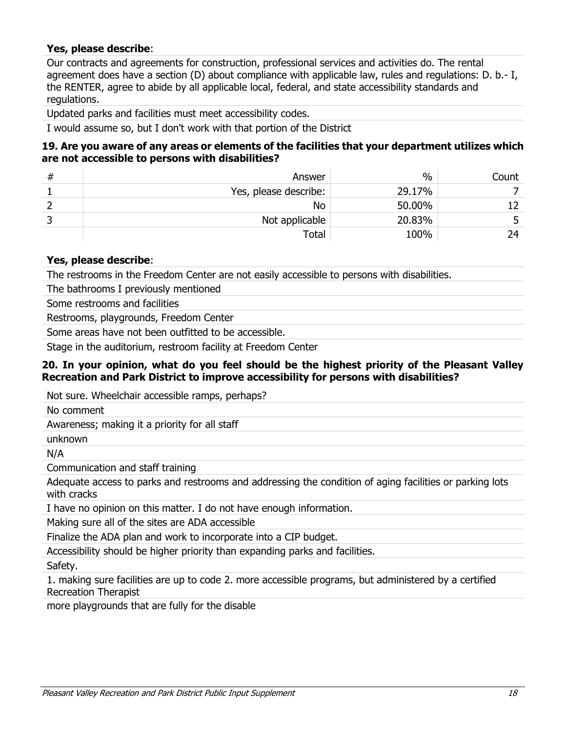## **Yes, please describe**:

Our contracts and agreements for construction, professional services and activities do. The rental agreement does have a section (D) about compliance with applicable law, rules and regulations: D. b.- I, the RENTER, agree to abide by all applicable local, federal, and state accessibility standards and regulations.

Updated parks and facilities must meet accessibility codes.

I would assume so, but I don't work with that portion of the District

#### **19. Are you aware of any areas or elements of the facilities that your department utilizes which are not accessible to persons with disabilities?**

| # | Answer                | $\%$   | Count |
|---|-----------------------|--------|-------|
|   | Yes, please describe: | 29.17% |       |
|   | <b>No</b>             | 50.00% |       |
|   | Not applicable        | 20.83% |       |
|   | Total                 | 100%   | 24    |

#### **Yes, please describe**:

The restrooms in the Freedom Center are not easily accessible to persons with disabilities.

The bathrooms I previously mentioned

Some restrooms and facilities

Restrooms, playgrounds, Freedom Center

Some areas have not been outfitted to be accessible.

Stage in the auditorium, restroom facility at Freedom Center

#### **20. In your opinion, what do you feel should be the highest priority of the Pleasant Valley Recreation and Park District to improve accessibility for persons with disabilities?**

Not sure. Wheelchair accessible ramps, perhaps?

No comment

Awareness; making it a priority for all staff

unknown

N/A

Communication and staff training

Adequate access to parks and restrooms and addressing the condition of aging facilities or parking lots with cracks

I have no opinion on this matter. I do not have enough information.

Making sure all of the sites are ADA accessible

Finalize the ADA plan and work to incorporate into a CIP budget.

Accessibility should be higher priority than expanding parks and facilities.

Safety.

1. making sure facilities are up to code 2. more accessible programs, but administered by a certified Recreation Therapist

more playgrounds that are fully for the disable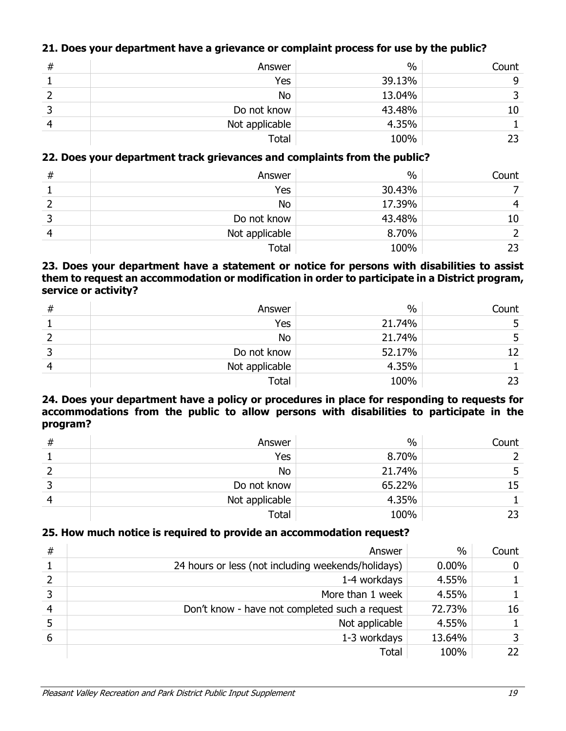## **21. Does your department have a grievance or complaint process for use by the public?**

| # | Answer         | $\%$   | Count |
|---|----------------|--------|-------|
|   | Yes            | 39.13% | 9     |
|   | No             | 13.04% |       |
|   | Do not know    | 43.48% | 10    |
|   | Not applicable | 4.35%  |       |
|   | Total          | 100%   |       |

## **22. Does your department track grievances and complaints from the public?**

| # | Answer         | $\%$   | Count |
|---|----------------|--------|-------|
|   | Yes            | 30.43% |       |
|   | No             | 17.39% | 4     |
|   | Do not know    | 43.48% | 10    |
|   | Not applicable | 8.70%  |       |
|   | Total          | 100%   | 23    |

## **23. Does your department have a statement or notice for persons with disabilities to assist them to request an accommodation or modification in order to participate in a District program, service or activity?**

| # | Answer         | $\%$   | Count |
|---|----------------|--------|-------|
|   | Yes            | 21.74% |       |
|   | No             | 21.74% |       |
|   | Do not know    | 52.17% | 12    |
|   | Not applicable | 4.35%  |       |
|   | Total          | 100%   |       |

### **24. Does your department have a policy or procedures in place for responding to requests for accommodations from the public to allow persons with disabilities to participate in the program?**

| # | Answer         | $\%$   | Count |
|---|----------------|--------|-------|
|   | Yes            | 8.70%  |       |
|   | No             | 21.74% |       |
|   | Do not know    | 65.22% | 15    |
| ⊿ | Not applicable | 4.35%  |       |
|   | Total          | 100%   |       |

## **25. How much notice is required to provide an accommodation request?**

| # | Answer                                             | $\%$     | Count |
|---|----------------------------------------------------|----------|-------|
|   | 24 hours or less (not including weekends/holidays) | $0.00\%$ | 0     |
|   | 1-4 workdays                                       | 4.55%    |       |
|   | More than 1 week                                   | 4.55%    |       |
| 4 | Don't know - have not completed such a request     | 72.73%   | 16    |
|   | Not applicable                                     | 4.55%    |       |
| 6 | 1-3 workdays                                       | 13.64%   | 3     |
|   | <b>Total</b>                                       | 100%     | 22.   |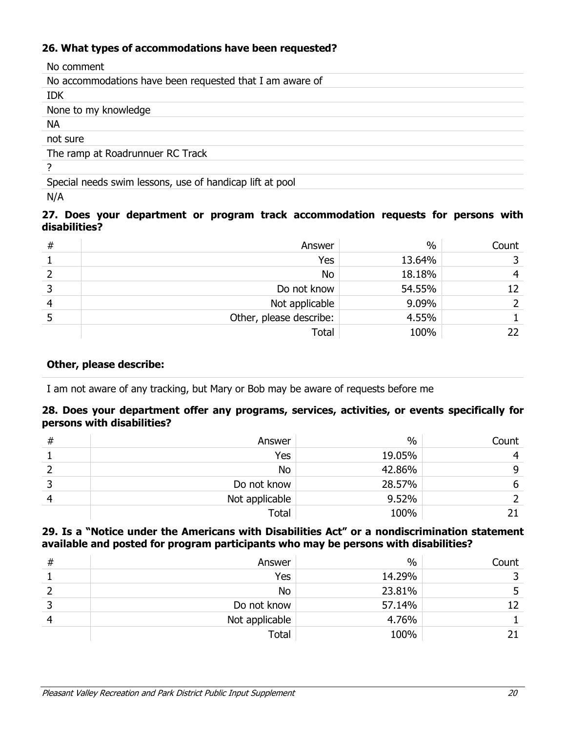## **26. What types of accommodations have been requested?**

| No comment                                               |
|----------------------------------------------------------|
| No accommodations have been requested that I am aware of |
| <b>IDK</b>                                               |
| None to my knowledge                                     |
| <b>NA</b>                                                |
| not sure                                                 |
| The ramp at Roadrunnuer RC Track                         |
| 7                                                        |
| Special needs swim lessons, use of handicap lift at pool |
| N/A                                                      |

## **27. Does your department or program track accommodation requests for persons with disabilities?**

| # | Answer                  | $\%$   | Count |
|---|-------------------------|--------|-------|
|   | Yes                     | 13.64% |       |
|   | No                      | 18.18% | 4     |
|   | Do not know             | 54.55% | 12    |
| 4 | Not applicable          | 9.09%  |       |
|   | Other, please describe: | 4.55%  |       |
|   | Total                   | 100%   | 22    |

## **Other, please describe:**

I am not aware of any tracking, but Mary or Bob may be aware of requests before me

## **28. Does your department offer any programs, services, activities, or events specifically for persons with disabilities?**

| # | Answer         | $\%$   | Count |
|---|----------------|--------|-------|
|   | Yes            | 19.05% |       |
|   | No             | 42.86% | 9     |
|   | Do not know    | 28.57% | 6     |
|   | Not applicable | 9.52%  |       |
|   | Total          | 100%   |       |

## **29. Is a "Notice under the Americans with Disabilities Act" or a nondiscrimination statement available and posted for program participants who may be persons with disabilities?**

| # | Answer         | $\%$   | Count |
|---|----------------|--------|-------|
|   | Yes            | 14.29% |       |
|   | No             | 23.81% |       |
|   | Do not know    | 57.14% | 12    |
|   | Not applicable | 4.76%  |       |
|   | Total          | 100%   |       |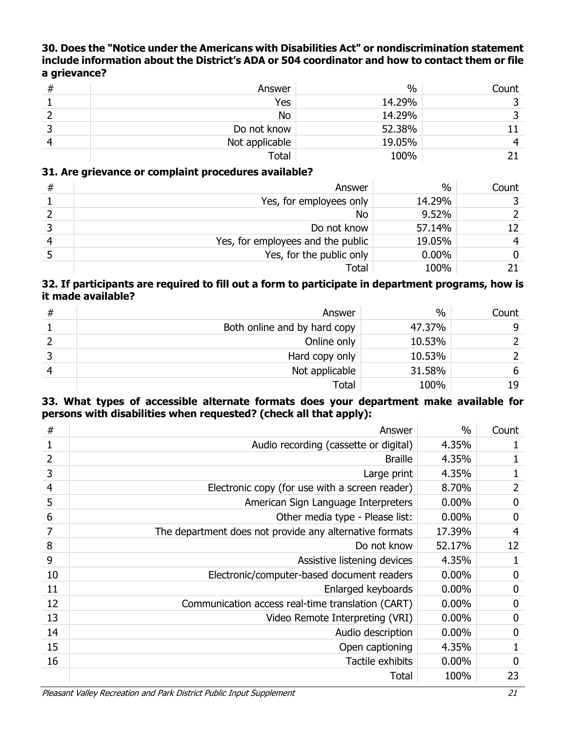## **30. Does the "Notice under the Americans with Disabilities Act" or nondiscrimination statement include information about the District's ADA or 504 coordinator and how to contact them or file a grievance?**

| Answer         | $\%$   | Count |
|----------------|--------|-------|
| Yes            | 14.29% |       |
| <b>No</b>      | 14.29% |       |
| Do not know    | 52.38% |       |
| Not applicable | 19.05% |       |
| <b>Total</b>   | 100%   |       |

## **31. Are grievance or complaint procedures available?**

| # | Answer                            | $\%$     | Count |
|---|-----------------------------------|----------|-------|
|   | Yes, for employees only           | 14.29%   |       |
|   | No                                | 9.52%    |       |
|   | Do not know                       | 57.14%   | 12    |
|   | Yes, for employees and the public | 19.05%   | 4     |
|   | Yes, for the public only          | $0.00\%$ | 0     |
|   | Total                             | 100%     |       |

#### **32. If participants are required to fill out a form to participate in department programs, how is it made available?**

| # | Answer                       | $\%$   | Count |
|---|------------------------------|--------|-------|
|   | Both online and by hard copy | 47.37% | 9     |
|   | Online only                  | 10.53% |       |
|   | Hard copy only               | 10.53% |       |
|   | Not applicable               | 31.58% | 6     |
|   | Total                        | 100%   | 19    |

## **33. What types of accessible alternate formats does your department make available for persons with disabilities when requested? (check all that apply):**

| $\#$           | Answer                                                  | $\%$     | Count            |
|----------------|---------------------------------------------------------|----------|------------------|
|                | Audio recording (cassette or digital)                   | 4.35%    |                  |
| 2              | <b>Braille</b>                                          | 4.35%    |                  |
| 3              | Large print                                             | 4.35%    |                  |
| $\overline{4}$ | Electronic copy (for use with a screen reader)          | 8.70%    | $\overline{2}$   |
| 5              | American Sign Language Interpreters                     | $0.00\%$ | 0                |
| 6              | Other media type - Please list:                         | $0.00\%$ | $\mathbf 0$      |
| 7              | The department does not provide any alternative formats | 17.39%   | $\overline{4}$   |
| 8              | Do not know                                             | 52.17%   | 12               |
| 9              | Assistive listening devices                             | 4.35%    |                  |
| 10             | Electronic/computer-based document readers              | $0.00\%$ | 0                |
| 11             | Enlarged keyboards                                      | 0.00%    | $\mathbf 0$      |
| 12             | Communication access real-time translation (CART)       | 0.00%    | 0                |
| 13             | Video Remote Interpreting (VRI)                         | 0.00%    | $\boldsymbol{0}$ |
| 14             | Audio description                                       | $0.00\%$ | $\mathbf 0$      |
| 15             | Open captioning                                         | 4.35%    |                  |
| 16             | Tactile exhibits                                        | $0.00\%$ | $\mathbf 0$      |
|                | Total                                                   | 100%     | 23               |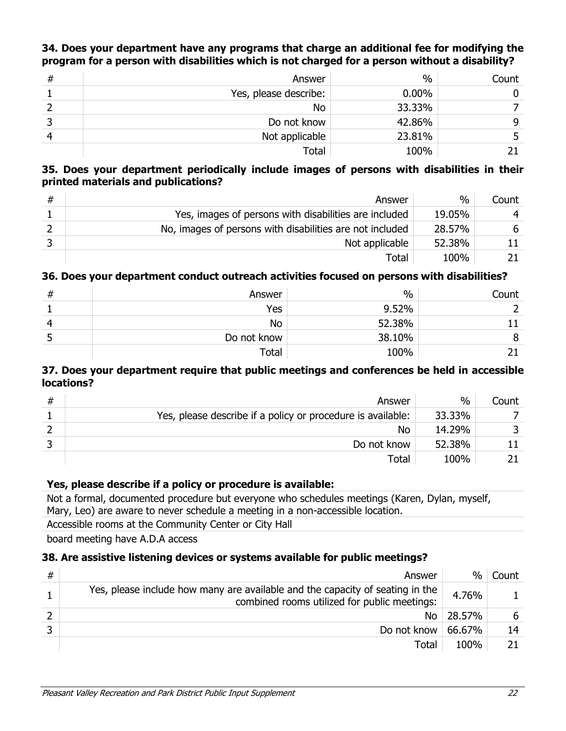## **34. Does your department have any programs that charge an additional fee for modifying the program for a person with disabilities which is not charged for a person without a disability?**

| # | Answer                | $\%$     | Count |
|---|-----------------------|----------|-------|
|   | Yes, please describe: | $0.00\%$ |       |
|   | No                    | 33.33%   |       |
|   | Do not know           | 42.86%   | q     |
|   | Not applicable        | 23.81%   |       |
|   | <b>Total</b>          | 100%     |       |

## **35. Does your department periodically include images of persons with disabilities in their printed materials and publications?**

| # | Answer                                                   | $\frac{0}{0}$ | Count |
|---|----------------------------------------------------------|---------------|-------|
|   | Yes, images of persons with disabilities are included    | 19.05%        | 4     |
|   | No, images of persons with disabilities are not included | 28.57%        | 6     |
|   | Not applicable                                           | 52.38%        |       |
|   | Total                                                    | 100%          |       |

## **36. Does your department conduct outreach activities focused on persons with disabilities?**

| 77 | Answer      | $\%$   | Count |
|----|-------------|--------|-------|
|    | Yes         | 9.52%  |       |
|    | No          | 52.38% |       |
| ے  | Do not know | 38.10% | 8     |
|    | Total       | 100%   |       |

## **37. Does your department require that public meetings and conferences be held in accessible locations?**

| # | Answer                                                      | $\%$   | Count |
|---|-------------------------------------------------------------|--------|-------|
|   | Yes, please describe if a policy or procedure is available: | 33.33% |       |
|   | No                                                          | 14.29% |       |
|   | Do not know                                                 | 52.38% |       |
|   | Total                                                       | 100%   |       |

## **Yes, please describe if a policy or procedure is available:**

Not a formal, documented procedure but everyone who schedules meetings (Karen, Dylan, myself, Mary, Leo) are aware to never schedule a meeting in a non-accessible location.

Accessible rooms at the Community Center or City Hall

board meeting have A.D.A access

## **38. Are assistive listening devices or systems available for public meetings?**

| # | Answer                                                                                                                        | %      | Count |
|---|-------------------------------------------------------------------------------------------------------------------------------|--------|-------|
|   | Yes, please include how many are available and the capacity of seating in the<br>combined rooms utilized for public meetings: | 4.76%  |       |
|   | No.                                                                                                                           | 28.57% | 6     |
|   | Do not know $66.67\%$                                                                                                         |        | 14    |
|   | Total                                                                                                                         | 100%   |       |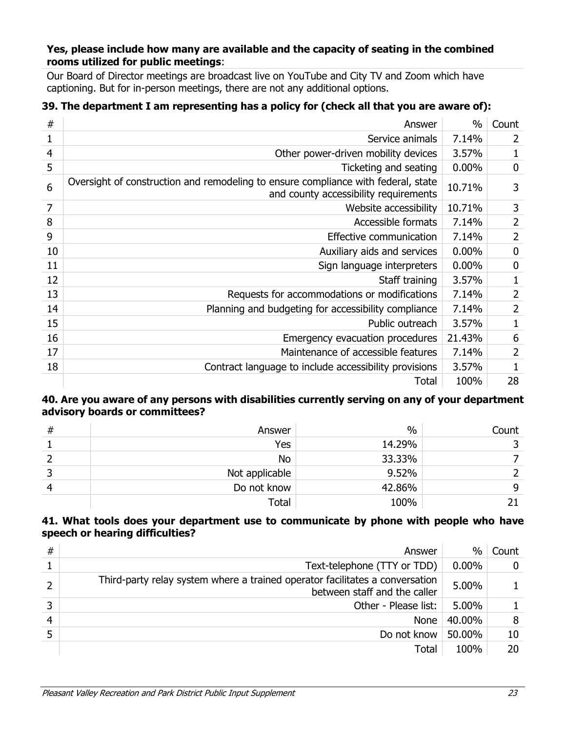### **Yes, please include how many are available and the capacity of seating in the combined rooms utilized for public meetings**:

Our Board of Director meetings are broadcast live on YouTube and City TV and Zoom which have captioning. But for in-person meetings, there are not any additional options.

## **39. The department I am representing has a policy for (check all that you are aware of):**

| #  | Answer                                                                                                                     | $\%$     | Count          |
|----|----------------------------------------------------------------------------------------------------------------------------|----------|----------------|
| 1  | Service animals                                                                                                            | 7.14%    | 2              |
| 4  | Other power-driven mobility devices                                                                                        | 3.57%    | 1              |
| 5  | Ticketing and seating                                                                                                      | 0.00%    | 0              |
| 6  | Oversight of construction and remodeling to ensure compliance with federal, state<br>and county accessibility requirements | 10.71%   | 3              |
| 7  | Website accessibility                                                                                                      | 10.71%   | 3              |
| 8  | Accessible formats                                                                                                         | 7.14%    | $\overline{2}$ |
| 9  | Effective communication                                                                                                    | 7.14%    | $\overline{2}$ |
| 10 | Auxiliary aids and services                                                                                                | $0.00\%$ | 0              |
| 11 | Sign language interpreters                                                                                                 | $0.00\%$ | 0              |
| 12 | Staff training                                                                                                             | 3.57%    | 1              |
| 13 | Requests for accommodations or modifications                                                                               | 7.14%    | 2              |
| 14 | Planning and budgeting for accessibility compliance                                                                        | 7.14%    | 2              |
| 15 | Public outreach                                                                                                            | 3.57%    | 1              |
| 16 | Emergency evacuation procedures                                                                                            | 21.43%   | 6              |
| 17 | Maintenance of accessible features                                                                                         | 7.14%    | 2              |
| 18 | Contract language to include accessibility provisions                                                                      | 3.57%    |                |
|    | Total                                                                                                                      | 100%     | 28             |

#### **40. Are you aware of any persons with disabilities currently serving on any of your department advisory boards or committees?**

| # | Answer         | $\%$   | Count |
|---|----------------|--------|-------|
|   | Yes            | 14.29% |       |
|   | No             | 33.33% |       |
|   | Not applicable | 9.52%  |       |
|   | Do not know    | 42.86% | 9     |
|   | Total          | 100%   |       |

#### **41. What tools does your department use to communicate by phone with people who have speech or hearing difficulties?**

| # | Answer                                                                                                       | $\%$     | Count |
|---|--------------------------------------------------------------------------------------------------------------|----------|-------|
|   | Text-telephone (TTY or TDD)                                                                                  | $0.00\%$ | 0     |
|   | Third-party relay system where a trained operator facilitates a conversation<br>between staff and the caller | 5.00%    |       |
| 3 | Other - Please list:                                                                                         | 5.00%    |       |
| 4 | <b>None</b>                                                                                                  | 40.00%   | 8     |
|   | Do not know                                                                                                  | 50.00%   | 10    |
|   | Total                                                                                                        | 100%     | 20    |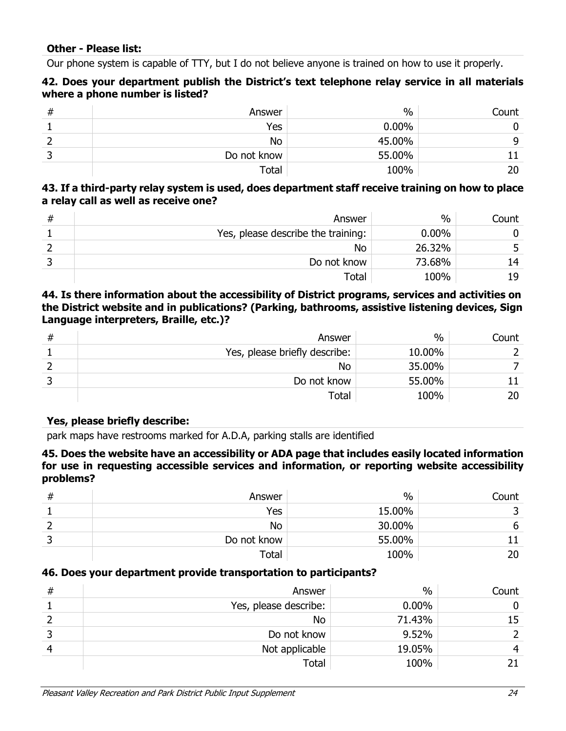Our phone system is capable of TTY, but I do not believe anyone is trained on how to use it properly.

## **42. Does your department publish the District's text telephone relay service in all materials where a phone number is listed?**

| ₩ | Answer      | $\frac{0}{0}$ | Count |
|---|-------------|---------------|-------|
|   | Yes         | $0.00\%$      |       |
|   | No          | 45.00%        | q     |
|   | Do not know | 55.00%        |       |
|   | Total       | 100%          | 20    |

## **43. If a third-party relay system is used, does department staff receive training on how to place a relay call as well as receive one?**

| # | Answer                             | $\%$     | Count |
|---|------------------------------------|----------|-------|
|   | Yes, please describe the training: | $0.00\%$ |       |
|   | No                                 | 26.32%   |       |
|   | Do not know                        | 73.68%   | 14    |
|   | Total                              | 100%     | 19    |

## **44. Is there information about the accessibility of District programs, services and activities on the District website and in publications? (Parking, bathrooms, assistive listening devices, Sign Language interpreters, Braille, etc.)?**

| # | Answer                        | $\%$   | Count |
|---|-------------------------------|--------|-------|
|   | Yes, please briefly describe: | 10.00% |       |
|   | <b>No</b>                     | 35.00% |       |
|   | Do not know                   | 55.00% |       |
|   | Total                         | 100%   | 20    |

## **Yes, please briefly describe:**

park maps have restrooms marked for A.D.A, parking stalls are identified

#### **45. Does the website have an accessibility or ADA page that includes easily located information for use in requesting accessible services and information, or reporting website accessibility problems?**

| ᇁ<br>π | Answer      | $\%$   | Count |
|--------|-------------|--------|-------|
|        | Yes         | 15.00% |       |
|        | No          | 30.00% |       |
|        | Do not know | 55.00% |       |
|        | Total       | 100%   |       |

## **46. Does your department provide transportation to participants?**

| # | Answer                | $\%$     | Count |
|---|-----------------------|----------|-------|
|   | Yes, please describe: | $0.00\%$ |       |
|   | <b>No</b>             | 71.43%   | 15    |
|   | Do not know           | 9.52%    |       |
|   | Not applicable        | 19.05%   |       |
|   | <b>Total</b>          | 100%     |       |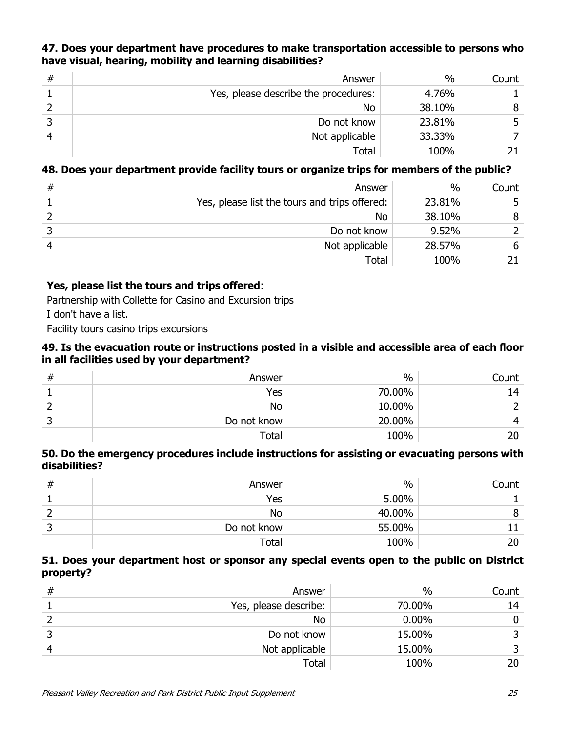## **47. Does your department have procedures to make transportation accessible to persons who have visual, hearing, mobility and learning disabilities?**

| # | Answer                               | $\frac{0}{0}$ | Count |
|---|--------------------------------------|---------------|-------|
|   | Yes, please describe the procedures: | 4.76%         |       |
|   | <b>No</b>                            | 38.10%        | 8     |
|   | Do not know                          | 23.81%        |       |
|   | Not applicable                       | 33.33%        |       |
|   | Total                                | 100%          |       |

## **48. Does your department provide facility tours or organize trips for members of the public?**

| # | Answer                                        | $\%$   | Count |
|---|-----------------------------------------------|--------|-------|
|   | Yes, please list the tours and trips offered: | 23.81% |       |
|   | <b>No</b>                                     | 38.10% |       |
|   | Do not know                                   | 9.52%  |       |
|   | Not applicable                                | 28.57% | 6     |
|   | Total                                         | 100%   |       |

#### **Yes, please list the tours and trips offered**:

Partnership with Collette for Casino and Excursion trips

I don't have a list.

Facility tours casino trips excursions

#### **49. Is the evacuation route or instructions posted in a visible and accessible area of each floor in all facilities used by your department?**

| # | Answer      | $\frac{0}{0}$ | Count |
|---|-------------|---------------|-------|
|   | Yes         | 70.00%        | 14    |
|   | No          | 10.00%        |       |
|   | Do not know | 20.00%        |       |
|   | Total       | 100%          |       |

#### **50. Do the emergency procedures include instructions for assisting or evacuating persons with disabilities?**

| #  | Answer      | $\frac{0}{0}$ | Count |
|----|-------------|---------------|-------|
|    | Yes         | 5.00%         |       |
|    | No          | 40.00%        |       |
| ــ | Do not know | 55.00%        |       |
|    | Total       | 100%          |       |

#### **51. Does your department host or sponsor any special events open to the public on District property?**

| # | Answer                | $\frac{0}{0}$ | Count |
|---|-----------------------|---------------|-------|
|   | Yes, please describe: | 70.00%        | 14    |
|   | No                    | $0.00\%$      | 0     |
|   | Do not know           | 15.00%        |       |
|   | Not applicable        | 15.00%        | 2     |
|   | <b>Total</b>          | 100%          | 20    |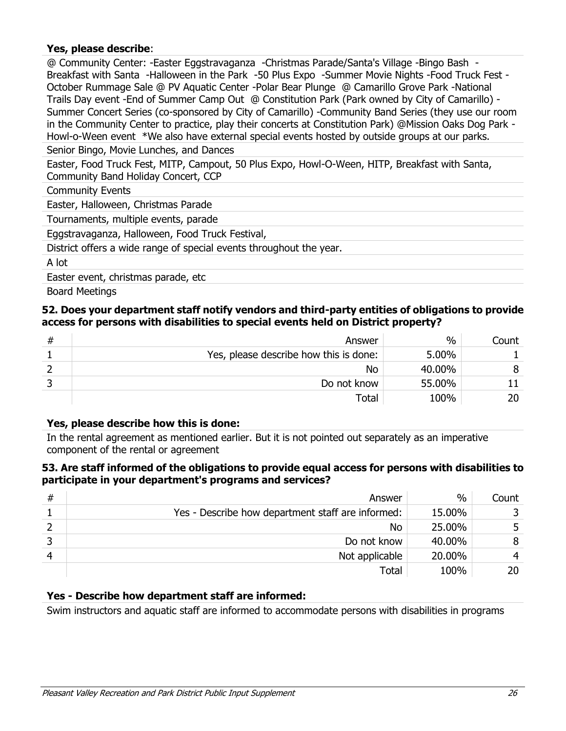## **Yes, please describe**:

@ Community Center: -Easter Eggstravaganza -Christmas Parade/Santa's Village -Bingo Bash - Breakfast with Santa -Halloween in the Park -50 Plus Expo -Summer Movie Nights -Food Truck Fest - October Rummage Sale @ PV Aquatic Center -Polar Bear Plunge @ Camarillo Grove Park -National Trails Day event -End of Summer Camp Out @ Constitution Park (Park owned by City of Camarillo) - Summer Concert Series (co-sponsored by City of Camarillo) -Community Band Series (they use our room in the Community Center to practice, play their concerts at Constitution Park) @Mission Oaks Dog Park - Howl-o-Ween event \*We also have external special events hosted by outside groups at our parks.

Senior Bingo, Movie Lunches, and Dances

Easter, Food Truck Fest, MITP, Campout, 50 Plus Expo, Howl-O-Ween, HITP, Breakfast with Santa, Community Band Holiday Concert, CCP

Community Events

Easter, Halloween, Christmas Parade

Tournaments, multiple events, parade

Eggstravaganza, Halloween, Food Truck Festival,

District offers a wide range of special events throughout the year.

A lot

Easter event, christmas parade, etc

Board Meetings

#### **52. Does your department staff notify vendors and third-party entities of obligations to provide access for persons with disabilities to special events held on District property?**

| # | Answer                                 | $\%$   | Count |
|---|----------------------------------------|--------|-------|
|   | Yes, please describe how this is done: | 5.00%  |       |
|   | No                                     | 40.00% |       |
|   | Do not know                            | 55.00% |       |
|   | Total                                  | 100%   | 20    |

#### **Yes, please describe how this is done:**

In the rental agreement as mentioned earlier. But it is not pointed out separately as an imperative component of the rental or agreement

#### **53. Are staff informed of the obligations to provide equal access for persons with disabilities to participate in your department's programs and services?**

| # | Answer                                            | $\frac{0}{0}$ | Count |
|---|---------------------------------------------------|---------------|-------|
|   | Yes - Describe how department staff are informed: | 15.00%        |       |
|   | No                                                | 25.00%        |       |
|   | Do not know                                       | 40.00%        | 8     |
|   | Not applicable                                    | 20.00%        |       |
|   | Total                                             | 100%          | 20.   |

## **Yes - Describe how department staff are informed:**

Swim instructors and aquatic staff are informed to accommodate persons with disabilities in programs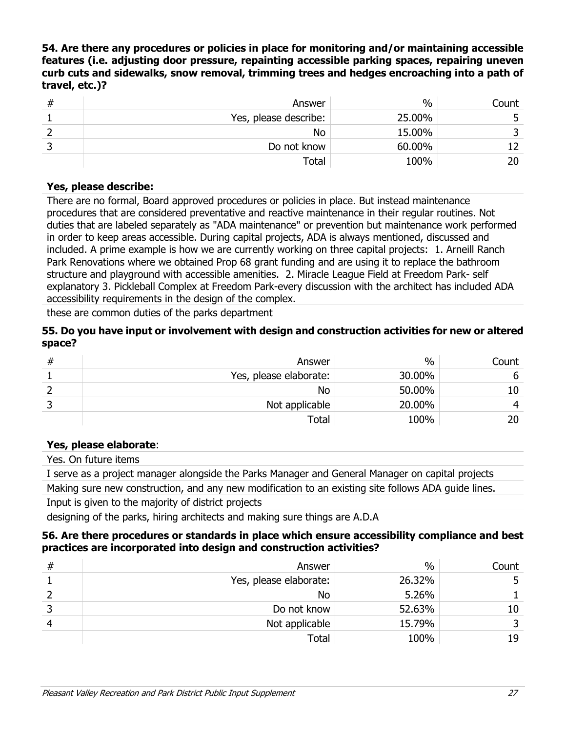**54. Are there any procedures or policies in place for monitoring and/or maintaining accessible features (i.e. adjusting door pressure, repainting accessible parking spaces, repairing uneven curb cuts and sidewalks, snow removal, trimming trees and hedges encroaching into a path of travel, etc.)?**

| # | Answer                | %      | Count |
|---|-----------------------|--------|-------|
|   | Yes, please describe: | 25.00% |       |
|   | No                    | 15.00% |       |
|   | Do not know           | 60.00% | ר ו   |
|   | Total                 | 100%   | 20    |

### **Yes, please describe:**

There are no formal, Board approved procedures or policies in place. But instead maintenance procedures that are considered preventative and reactive maintenance in their regular routines. Not duties that are labeled separately as "ADA maintenance" or prevention but maintenance work performed in order to keep areas accessible. During capital projects, ADA is always mentioned, discussed and included. A prime example is how we are currently working on three capital projects: 1. Arneill Ranch Park Renovations where we obtained Prop 68 grant funding and are using it to replace the bathroom structure and playground with accessible amenities. 2. Miracle League Field at Freedom Park- self explanatory 3. Pickleball Complex at Freedom Park-every discussion with the architect has included ADA accessibility requirements in the design of the complex.

these are common duties of the parks department

#### **55. Do you have input or involvement with design and construction activities for new or altered space?**

| # | Answer                 | $\%$   | Count |
|---|------------------------|--------|-------|
|   | Yes, please elaborate: | 30.00% | b     |
|   | No                     | 50.00% | 10    |
|   | Not applicable         | 20.00% |       |
|   | $\tau$ otal            | 100%   | 20    |

## **Yes, please elaborate**:

Yes. On future items

I serve as a project manager alongside the Parks Manager and General Manager on capital projects

Making sure new construction, and any new modification to an existing site follows ADA guide lines. Input is given to the majority of district projects

designing of the parks, hiring architects and making sure things are A.D.A

#### **56. Are there procedures or standards in place which ensure accessibility compliance and best practices are incorporated into design and construction activities?**

| # | Answer                 | $\frac{0}{0}$ | Count |
|---|------------------------|---------------|-------|
|   | Yes, please elaborate: | 26.32%        |       |
|   | <b>No</b>              | 5.26%         |       |
|   | Do not know            | 52.63%        | 10    |
|   | Not applicable         | 15.79%        |       |
|   | Total                  | 100%          | 19    |